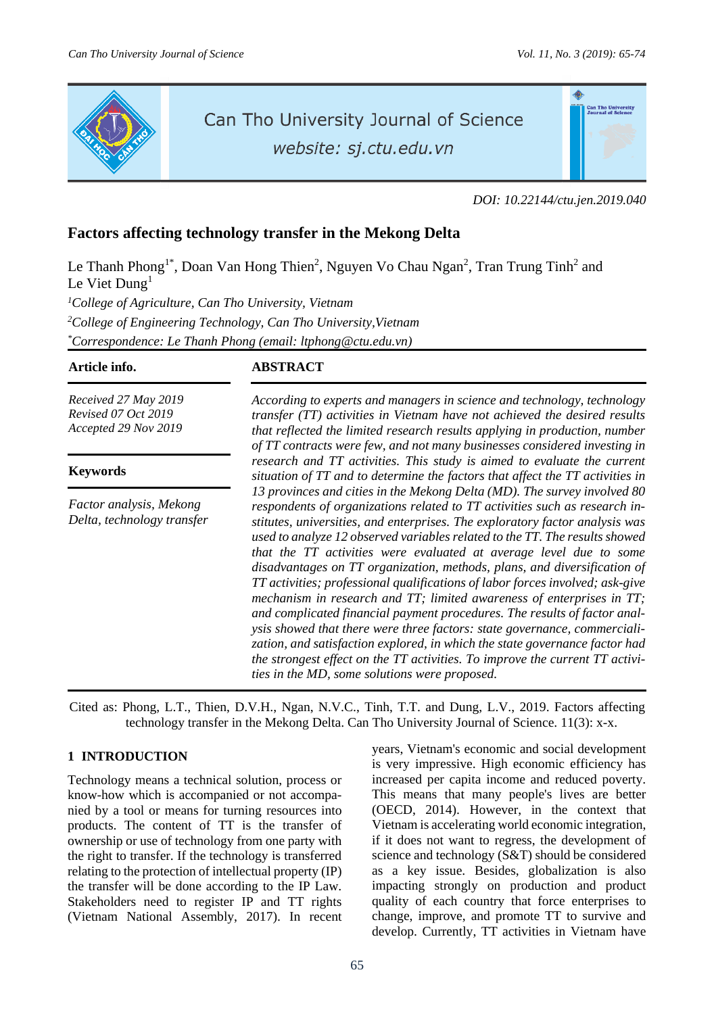

# Can Tho University Journal of Science

website: sj.ctu.edu.vn



*DOI: 10.22144/ctu.jen.2019.040*

## **Factors affecting technology transfer in the Mekong Delta**

Le Thanh Phong<sup>1\*</sup>, Doan Van Hong Thien<sup>2</sup>, Nguyen Vo Chau Ngan<sup>2</sup>, Tran Trung Tinh<sup>2</sup> and Le Viet Dung<sup>1</sup>

*<sup>1</sup>College of Agriculture, Can Tho University, Vietnam <sup>2</sup>College of Engineering Technology, Can Tho University,Vietnam \*Correspondence: Le Thanh Phong (email: ltphong@ctu.edu.vn)*

**Article info. ABSTRACT**

*Received 27 May 2019 Revised 07 Oct 2019 Accepted 29 Nov 2019*

### **Keywords**

*Factor analysis, Mekong Delta, technology transfer* *According to experts and managers in science and technology, technology transfer (TT) activities in Vietnam have not achieved the desired results that reflected the limited research results applying in production, number of TT contracts were few, and not many businesses considered investing in research and TT activities. This study is aimed to evaluate the current situation of TT and to determine the factors that affect the TT activities in 13 provinces and cities in the Mekong Delta (MD). The survey involved 80 respondents of organizations related to TT activities such as research institutes, universities, and enterprises. The exploratory factor analysis was used to analyze 12 observed variables related to the TT. The results showed that the TT activities were evaluated at average level due to some disadvantages on TT organization, methods, plans, and diversification of TT activities; professional qualifications of labor forces involved; ask-give mechanism in research and TT; limited awareness of enterprises in TT; and complicated financial payment procedures. The results of factor analysis showed that there were three factors: state governance, commercialization, and satisfaction explored, in which the state governance factor had the strongest effect on the TT activities. To improve the current TT activities in the MD, some solutions were proposed.*

Cited as: Phong, L.T., Thien, D.V.H., Ngan, N.V.C., Tinh, T.T. and Dung, L.V., 2019. Factors affecting technology transfer in the Mekong Delta. Can Tho University Journal of Science. 11(3): x-x.

### **1 INTRODUCTION**

Technology means a technical solution, process or know-how which is accompanied or not accompanied by a tool or means for turning resources into products. The content of TT is the transfer of ownership or use of technology from one party with the right to transfer. If the technology is transferred relating to the protection of intellectual property (IP) the transfer will be done according to the IP Law. Stakeholders need to register IP and TT rights (Vietnam National Assembly, 2017). In recent years, Vietnam's economic and social development is very impressive. High economic efficiency has increased per capita income and reduced poverty. This means that many people's lives are better (OECD, 2014). However, in the context that Vietnam is accelerating world economic integration, if it does not want to regress, the development of science and technology (S&T) should be considered as a key issue. Besides, globalization is also impacting strongly on production and product quality of each country that force enterprises to change, improve, and promote TT to survive and develop. Currently, TT activities in Vietnam have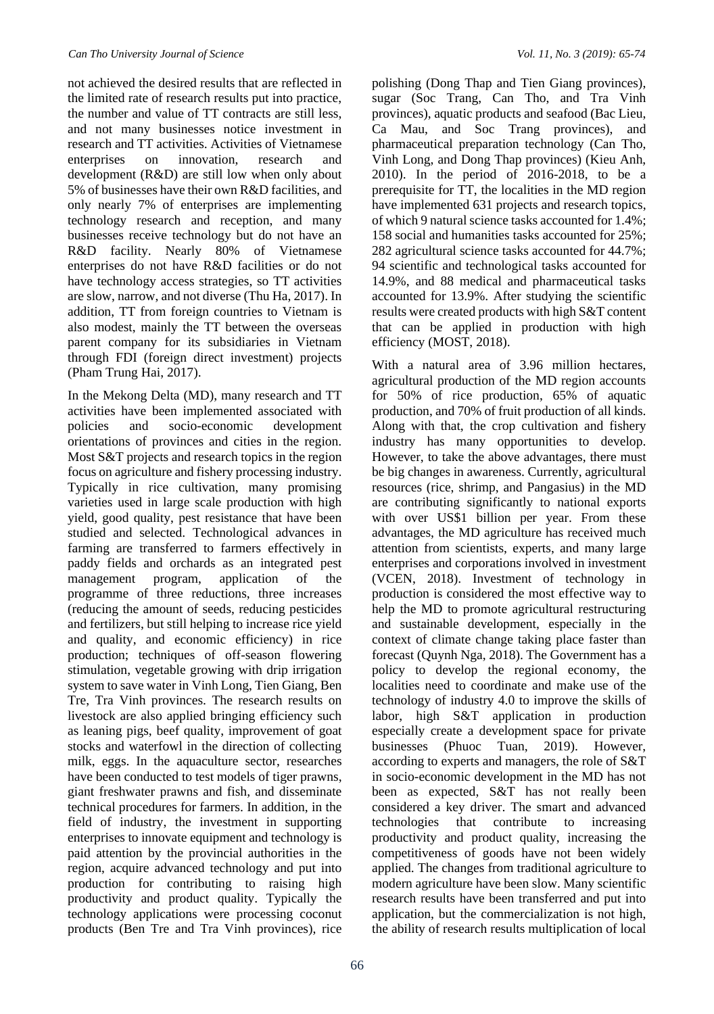not achieved the desired results that are reflected in the limited rate of research results put into practice, the number and value of TT contracts are still less, and not many businesses notice investment in research and TT activities. Activities of Vietnamese enterprises on innovation, research and development (R&D) are still low when only about 5% of businesses have their own R&D facilities, and only nearly 7% of enterprises are implementing technology research and reception, and many businesses receive technology but do not have an R&D facility. Nearly 80% of Vietnamese enterprises do not have R&D facilities or do not have technology access strategies, so TT activities are slow, narrow, and not diverse (Thu Ha, 2017). In addition, TT from foreign countries to Vietnam is also modest, mainly the TT between the overseas parent company for its subsidiaries in Vietnam through FDI (foreign direct investment) projects (Pham Trung Hai, 2017).

In the Mekong Delta (MD), many research and TT activities have been implemented associated with policies and socio-economic development orientations of provinces and cities in the region. Most S&T projects and research topics in the region focus on agriculture and fishery processing industry. Typically in rice cultivation, many promising varieties used in large scale production with high yield, good quality, pest resistance that have been studied and selected. Technological advances in farming are transferred to farmers effectively in paddy fields and orchards as an integrated pest management program, application of the programme of three reductions, three increases (reducing the amount of seeds, reducing pesticides and fertilizers, but still helping to increase rice yield and quality, and economic efficiency) in rice production; techniques of off-season flowering stimulation, vegetable growing with drip irrigation system to save water in Vinh Long, Tien Giang, Ben Tre, Tra Vinh provinces. The research results on livestock are also applied bringing efficiency such as leaning pigs, beef quality, improvement of goat stocks and waterfowl in the direction of collecting milk, eggs. In the aquaculture sector, researches have been conducted to test models of tiger prawns, giant freshwater prawns and fish, and disseminate technical procedures for farmers. In addition, in the field of industry, the investment in supporting enterprises to innovate equipment and technology is paid attention by the provincial authorities in the region, acquire advanced technology and put into production for contributing to raising high productivity and product quality. Typically the technology applications were processing coconut products (Ben Tre and Tra Vinh provinces), rice

polishing (Dong Thap and Tien Giang provinces), sugar (Soc Trang, Can Tho, and Tra Vinh provinces), aquatic products and seafood (Bac Lieu, Ca Mau, and Soc Trang provinces), and pharmaceutical preparation technology (Can Tho, Vinh Long, and Dong Thap provinces) (Kieu Anh, 2010). In the period of 2016-2018, to be a prerequisite for TT, the localities in the MD region have implemented 631 projects and research topics, of which 9 natural science tasks accounted for 1.4%; 158 social and humanities tasks accounted for 25%; 282 agricultural science tasks accounted for 44.7%; 94 scientific and technological tasks accounted for 14.9%, and 88 medical and pharmaceutical tasks accounted for 13.9%. After studying the scientific results were created products with high S&T content that can be applied in production with high efficiency (MOST, 2018).

With a natural area of 3.96 million hectares, agricultural production of the MD region accounts for 50% of rice production, 65% of aquatic production, and 70% of fruit production of all kinds. Along with that, the crop cultivation and fishery industry has many opportunities to develop. However, to take the above advantages, there must be big changes in awareness. Currently, agricultural resources (rice, shrimp, and Pangasius) in the MD are contributing significantly to national exports with over US\$1 billion per year. From these advantages, the MD agriculture has received much attention from scientists, experts, and many large enterprises and corporations involved in investment (VCEN, 2018). Investment of technology in production is considered the most effective way to help the MD to promote agricultural restructuring and sustainable development, especially in the context of climate change taking place faster than forecast (Quynh Nga, 2018). The Government has a policy to develop the regional economy, the localities need to coordinate and make use of the technology of industry 4.0 to improve the skills of labor, high S&T application in production especially create a development space for private businesses (Phuoc Tuan, 2019). However, according to experts and managers, the role of S&T in socio-economic development in the MD has not been as expected, S&T has not really been considered a key driver. The smart and advanced technologies that contribute to increasing productivity and product quality, increasing the competitiveness of goods have not been widely applied. The changes from traditional agriculture to modern agriculture have been slow. Many scientific research results have been transferred and put into application, but the commercialization is not high, the ability of research results multiplication of local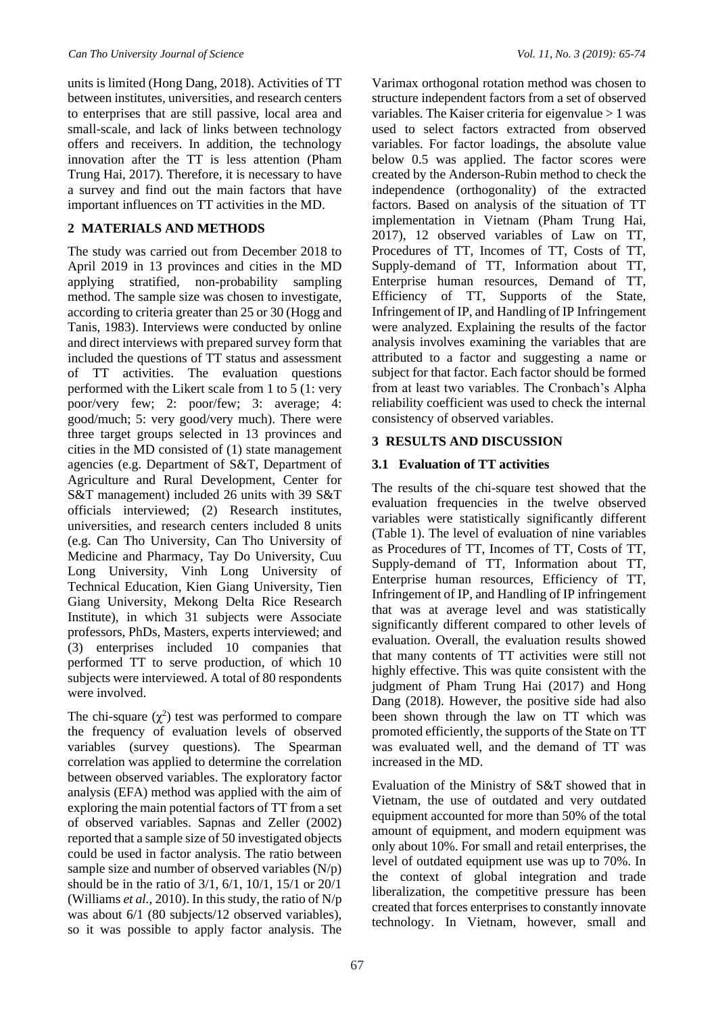units is limited (Hong Dang, 2018). Activities of TT between institutes, universities, and research centers to enterprises that are still passive, local area and small-scale, and lack of links between technology offers and receivers. In addition, the technology innovation after the TT is less attention (Pham Trung Hai, 2017). Therefore, it is necessary to have a survey and find out the main factors that have important influences on TT activities in the MD.

#### **2 MATERIALS AND METHODS**

The study was carried out from December 2018 to April 2019 in 13 provinces and cities in the MD applying stratified, non-probability sampling method. The sample size was chosen to investigate, according to criteria greater than 25 or 30 (Hogg and Tanis, 1983). Interviews were conducted by online and direct interviews with prepared survey form that included the questions of TT status and assessment of TT activities. The evaluation questions performed with the Likert scale from 1 to 5 (1: very poor/very few; 2: poor/few; 3: average; 4: good/much; 5: very good/very much). There were three target groups selected in 13 provinces and cities in the MD consisted of (1) state management agencies (e.g. Department of S&T, Department of Agriculture and Rural Development, Center for S&T management) included 26 units with 39 S&T officials interviewed; (2) Research institutes, universities, and research centers included 8 units (e.g. Can Tho University, Can Tho University of Medicine and Pharmacy, Tay Do University, Cuu Long University, Vinh Long University of Technical Education, Kien Giang University, Tien Giang University, Mekong Delta Rice Research Institute), in which 31 subjects were Associate professors, PhDs, Masters, experts interviewed; and (3) enterprises included 10 companies that performed TT to serve production, of which 10 subjects were interviewed. A total of 80 respondents were involved.

The chi-square  $(\chi^2)$  test was performed to compare the frequency of evaluation levels of observed variables (survey questions). The Spearman correlation was applied to determine the correlation between observed variables. The exploratory factor analysis (EFA) method was applied with the aim of exploring the main potential factors of TT from a set of observed variables. Sapnas and Zeller (2002) reported that a sample size of 50 investigated objects could be used in factor analysis. The ratio between sample size and number of observed variables (N/p) should be in the ratio of 3/1, 6/1, 10/1, 15/1 or 20/1 (Williams *et al.*, 2010). In this study, the ratio of N/p was about 6/1 (80 subjects/12 observed variables), so it was possible to apply factor analysis. The

Varimax orthogonal rotation method was chosen to structure independent factors from a set of observed variables. The Kaiser criteria for eigenvalue > 1 was used to select factors extracted from observed variables. For factor loadings, the absolute value below 0.5 was applied. The factor scores were created by the Anderson-Rubin method to check the independence (orthogonality) of the extracted factors. Based on analysis of the situation of TT implementation in Vietnam (Pham Trung Hai, 2017), 12 observed variables of Law on TT, Procedures of TT, Incomes of TT, Costs of TT, Supply-demand of TT, Information about TT, Enterprise human resources, Demand of TT, Efficiency of TT, Supports of the State, Infringement of IP, and Handling of IP Infringement were analyzed. Explaining the results of the factor analysis involves examining the variables that are attributed to a factor and suggesting a name or subject for that factor. Each factor should be formed from at least two variables. The Cronbach's Alpha reliability coefficient was used to check the internal consistency of observed variables.

### **3 RESULTS AND DISCUSSION**

### **3.1 Evaluation of TT activities**

The results of the chi-square test showed that the evaluation frequencies in the twelve observed variables were statistically significantly different (Table 1). The level of evaluation of nine variables as Procedures of TT, Incomes of TT, Costs of TT, Supply-demand of TT, Information about TT, Enterprise human resources, Efficiency of TT, Infringement of IP, and Handling of IP infringement that was at average level and was statistically significantly different compared to other levels of evaluation. Overall, the evaluation results showed that many contents of TT activities were still not highly effective. This was quite consistent with the judgment of Pham Trung Hai (2017) and Hong Dang (2018). However, the positive side had also been shown through the law on TT which was promoted efficiently, the supports of the State on TT was evaluated well, and the demand of TT was increased in the MD.

Evaluation of the Ministry of S&T showed that in Vietnam, the use of outdated and very outdated equipment accounted for more than 50% of the total amount of equipment, and modern equipment was only about 10%. For small and retail enterprises, the level of outdated equipment use was up to 70%. In the context of global integration and trade liberalization, the competitive pressure has been created that forces enterprises to constantly innovate technology. In Vietnam, however, small and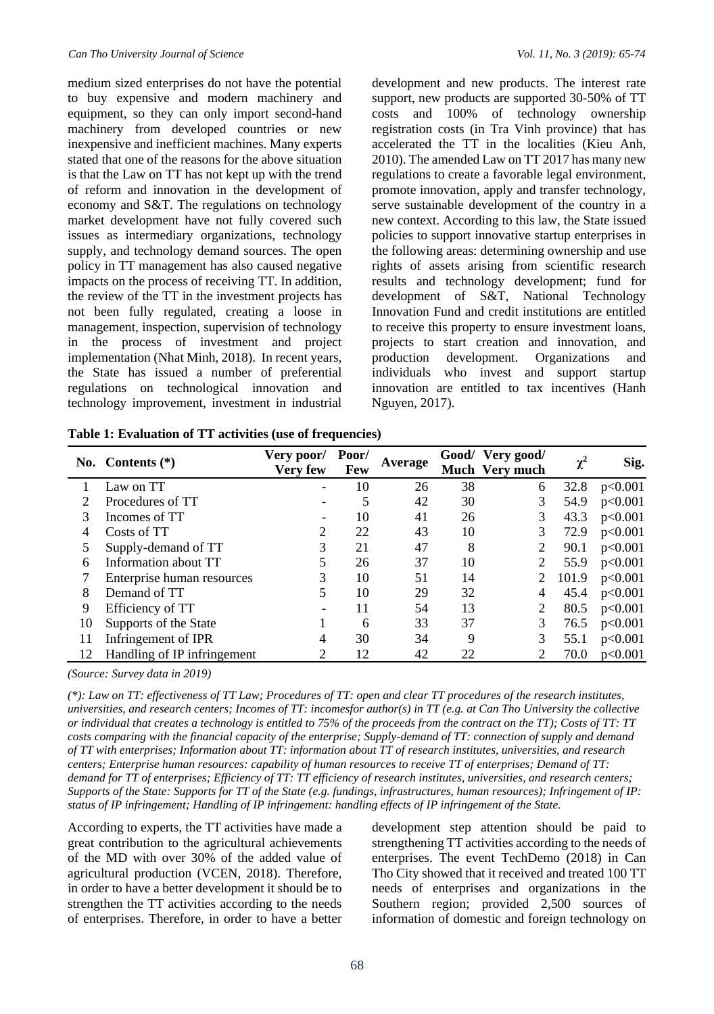medium sized enterprises do not have the potential to buy expensive and modern machinery and equipment, so they can only import second-hand machinery from developed countries or new inexpensive and inefficient machines. Many experts stated that one of the reasons for the above situation is that the Law on TT has not kept up with the trend of reform and innovation in the development of economy and S&T. The regulations on technology market development have not fully covered such issues as intermediary organizations, technology supply, and technology demand sources. The open policy in TT management has also caused negative impacts on the process of receiving TT. In addition, the review of the TT in the investment projects has not been fully regulated, creating a loose in management, inspection, supervision of technology in the process of investment and project implementation (Nhat Minh, 2018). In recent years, the State has issued a number of preferential regulations on technological innovation and technology improvement, investment in industrial

development and new products. The interest rate support, new products are supported 30-50% of TT costs and 100% of technology ownership registration costs (in Tra Vinh province) that has accelerated the TT in the localities (Kieu Anh, 2010). The amended Law on TT 2017 has many new regulations to create a favorable legal environment, promote innovation, apply and transfer technology, serve sustainable development of the country in a new context. According to this law, the State issued policies to support innovative startup enterprises in the following areas: determining ownership and use rights of assets arising from scientific research results and technology development; fund for development of S&T, National Technology Innovation Fund and credit institutions are entitled to receive this property to ensure investment loans, projects to start creation and innovation, and production development. Organizations and individuals who invest and support startup innovation are entitled to tax incentives (Hanh Nguyen, 2017).

| Table 1: Evaluation of TT activities (use of frequencies) |  |
|-----------------------------------------------------------|--|
|-----------------------------------------------------------|--|

|    | No. Contents $(*)$          | Very poor/<br>Very few | Poor/<br><b>Few</b> | Average |    | Good/ Very good/<br>Much Very much | $\chi^2$ | Sig.    |
|----|-----------------------------|------------------------|---------------------|---------|----|------------------------------------|----------|---------|
|    | Law on TT                   |                        | 10                  | 26      | 38 | 6                                  | 32.8     | p<0.001 |
|    | Procedures of TT            |                        | 5                   | 42      | 30 | 3                                  | 54.9     | p<0.001 |
| 3  | Incomes of TT               |                        | 10                  | 41      | 26 | 3                                  | 43.3     | p<0.001 |
| 4  | Costs of TT                 |                        | 22                  | 43      | 10 | 3                                  | 72.9     | p<0.001 |
|    | Supply-demand of TT         | 3                      | 21                  | 47      | 8  | $\mathcal{L}$                      | 90.1     | p<0.001 |
| 6  | Information about TT        |                        | 26                  | 37      | 10 |                                    | 55.9     | p<0.001 |
|    | Enterprise human resources  |                        | 10                  | 51      | 14 |                                    | 101.9    | p<0.001 |
| 8  | Demand of TT                |                        | 10                  | 29      | 32 | 4                                  | 45.4     | p<0.001 |
| 9  | Efficiency of TT            |                        | 11                  | 54      | 13 | $\overline{\mathcal{L}}$           | 80.5     | p<0.001 |
| 10 | Supports of the State       |                        | 6                   | 33      | 37 |                                    | 76.5     | p<0.001 |
| 11 | Infringement of IPR         | 4                      | 30                  | 34      | 9  |                                    | 55.1     | p<0.001 |
| 12 | Handling of IP infringement |                        | 12                  | 42      | 22 |                                    | 70.0     | p<0.001 |

*(Source: Survey data in 2019)*

*(\*): Law on TT: effectiveness of TT Law; Procedures of TT: open and clear TT procedures of the research institutes, universities, and research centers; Incomes of TT: incomesfor author(s) in TT (e.g. at Can Tho University the collective or individual that creates a technology is entitled to 75% of the proceeds from the contract on the TT); Costs of TT: TT costs comparing with the financial capacity of the enterprise; Supply-demand of TT: connection of supply and demand of TT with enterprises; Information about TT: information about TT of research institutes, universities, and research centers; Enterprise human resources: capability of human resources to receive TT of enterprises; Demand of TT: demand for TT of enterprises; Efficiency of TT: TT efficiency of research institutes, universities, and research centers; Supports of the State: Supports for TT of the State (e.g. fundings, infrastructures, human resources); Infringement of IP: status of IP infringement; Handling of IP infringement: handling effects of IP infringement of the State.*

According to experts, the TT activities have made a great contribution to the agricultural achievements of the MD with over 30% of the added value of agricultural production (VCEN, 2018). Therefore, in order to have a better development it should be to strengthen the TT activities according to the needs of enterprises. Therefore, in order to have a better

development step attention should be paid to strengthening TT activities according to the needs of enterprises. The event TechDemo (2018) in Can Tho City showed that it received and treated 100 TT needs of enterprises and organizations in the Southern region; provided 2,500 sources of information of domestic and foreign technology on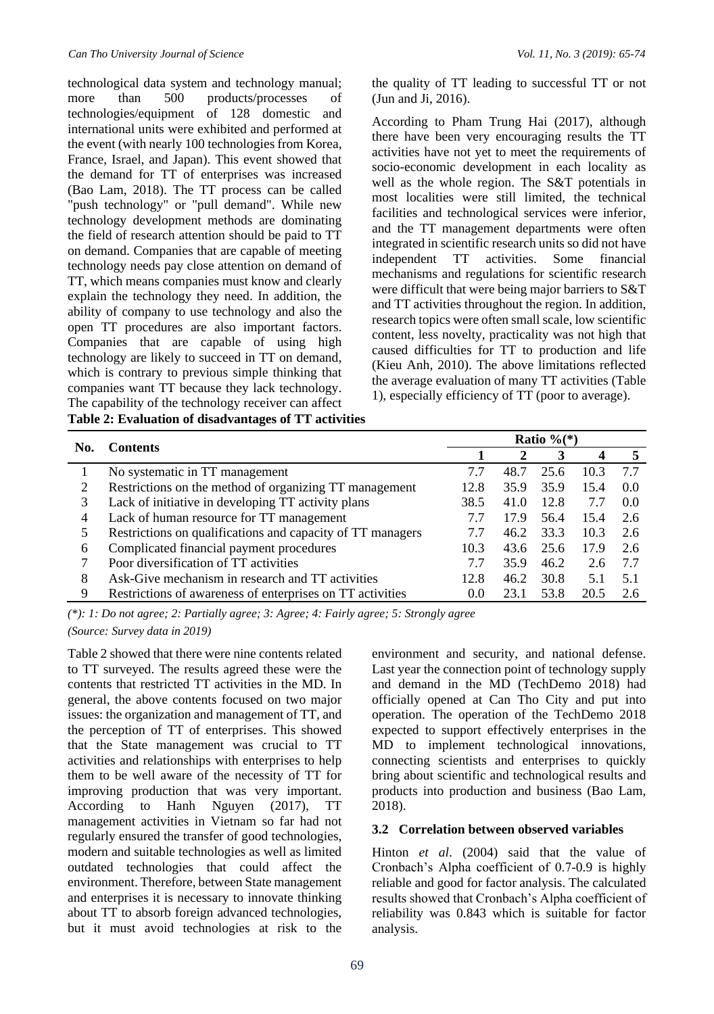technological data system and technology manual; more than 500 products/processes of technologies/equipment of 128 domestic and international units were exhibited and performed at the event (with nearly 100 technologies from Korea, France, Israel, and Japan). This event showed that the demand for TT of enterprises was increased (Bao Lam, 2018). The TT process can be called "push technology" or "pull demand". While new technology development methods are dominating the field of research attention should be paid to TT on demand. Companies that are capable of meeting technology needs pay close attention on demand of TT, which means companies must know and clearly explain the technology they need. In addition, the ability of company to use technology and also the open TT procedures are also important factors. Companies that are capable of using high technology are likely to succeed in TT on demand, which is contrary to previous simple thinking that companies want TT because they lack technology. The capability of the technology receiver can affect **Table 2: Evaluation of disadvantages of TT activities**

the quality of TT leading to successful TT or not (Jun and Ji, 2016).

According to Pham Trung Hai (2017), although there have been very encouraging results the TT activities have not yet to meet the requirements of socio-economic development in each locality as well as the whole region. The S&T potentials in most localities were still limited, the technical facilities and technological services were inferior, and the TT management departments were often integrated in scientific research units so did not have independent TT activities. Some financial mechanisms and regulations for scientific research were difficult that were being major barriers to S&T and TT activities throughout the region. In addition, research topics were often small scale, low scientific content, less novelty, practicality was not high that caused difficulties for TT to production and life (Kieu Anh, 2010). The above limitations reflected the average evaluation of many TT activities (Table 1), especially efficiency of TT (poor to average).

|     | <b>Contents</b>                                            | Ratio $\frac{1}{6}$ (*) |      |      |      |     |  |  |
|-----|------------------------------------------------------------|-------------------------|------|------|------|-----|--|--|
| No. |                                                            |                         |      | 3    | 4    |     |  |  |
|     | No systematic in TT management                             | 7.7                     | 48.7 | 25.6 | 10.3 | 7.7 |  |  |
|     | Restrictions on the method of organizing TT management     | 12.8                    | 35.9 | 35.9 | 15.4 | 0.0 |  |  |
|     | Lack of initiative in developing TT activity plans         | 38.5                    | 41.0 | 12.8 | 7.7  | 0.0 |  |  |
| 4   | Lack of human resource for TT management                   |                         | 17.9 | 56.4 | 15.4 | 2.6 |  |  |
|     | Restrictions on qualifications and capacity of TT managers | 7.7                     | 46.2 | 33.3 | 10.3 | 2.6 |  |  |
| 6   | Complicated financial payment procedures                   | 10.3                    | 43.6 | 25.6 | 17.9 | 2.6 |  |  |
|     | Poor diversification of TT activities                      | 7.7                     | 35.9 | 46.2 | 2.6  | 7.7 |  |  |
| 8   | Ask-Give mechanism in research and TT activities           | 12.8                    | 46.2 | 30.8 | 5.1  | 5.1 |  |  |
| 9   | Restrictions of awareness of enterprises on TT activities  | 0.0                     | 23.1 | 53.8 | 20.5 |     |  |  |

*(\*): 1: Do not agree; 2: Partially agree; 3: Agree; 4: Fairly agree; 5: Strongly agree (Source: Survey data in 2019)*

Table 2 showed that there were nine contents related to TT surveyed. The results agreed these were the contents that restricted TT activities in the MD. In general, the above contents focused on two major issues: the organization and management of TT, and the perception of TT of enterprises. This showed that the State management was crucial to TT activities and relationships with enterprises to help them to be well aware of the necessity of TT for improving production that was very important. According to Hanh Nguyen (2017), TT management activities in Vietnam so far had not regularly ensured the transfer of good technologies, modern and suitable technologies as well as limited outdated technologies that could affect the environment. Therefore, between State management and enterprises it is necessary to innovate thinking about TT to absorb foreign advanced technologies, but it must avoid technologies at risk to the

environment and security, and national defense. Last year the connection point of technology supply and demand in the MD (TechDemo 2018) had officially opened at Can Tho City and put into operation. The operation of the TechDemo 2018 expected to support effectively enterprises in the MD to implement technological innovations, connecting scientists and enterprises to quickly bring about scientific and technological results and products into production and business (Bao Lam, 2018).

#### **3.2 Correlation between observed variables**

Hinton *et al*. (2004) said that the value of Cronbach's Alpha coefficient of 0.7-0.9 is highly reliable and good for factor analysis. The calculated results showed that Cronbach's Alpha coefficient of reliability was 0.843 which is suitable for factor analysis.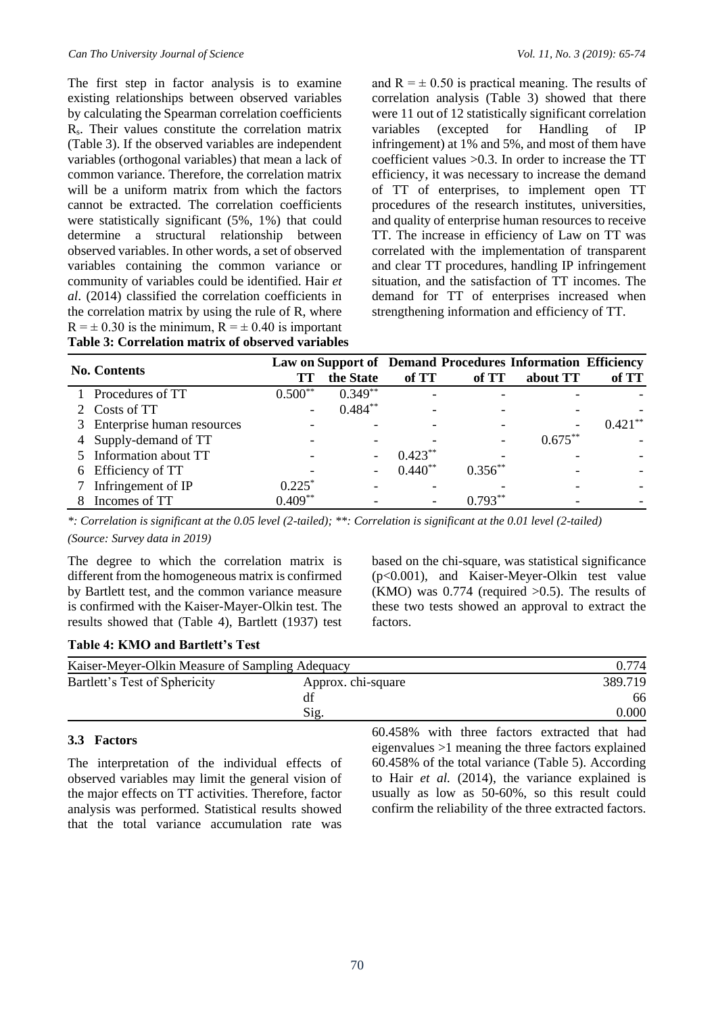The first step in factor analysis is to examine existing relationships between observed variables by calculating the Spearman correlation coefficients Rs. Their values constitute the correlation matrix (Table 3). If the observed variables are independent variables (orthogonal variables) that mean a lack of common variance. Therefore, the correlation matrix will be a uniform matrix from which the factors cannot be extracted. The correlation coefficients were statistically significant (5%, 1%) that could determine a structural relationship between observed variables. In other words, a set of observed variables containing the common variance or community of variables could be identified. Hair *et al*. (2014) classified the correlation coefficients in the correlation matrix by using the rule of R, where  $R = \pm 0.30$  is the minimum,  $R = \pm 0.40$  is important **Table 3: Correlation matrix of observed variables** and  $R = \pm 0.50$  is practical meaning. The results of correlation analysis (Table 3) showed that there were 11 out of 12 statistically significant correlation variables (excepted for Handling of IP infringement) at 1% and 5%, and most of them have coefficient values >0.3. In order to increase the TT efficiency, it was necessary to increase the demand of TT of enterprises, to implement open TT procedures of the research institutes, universities, and quality of enterprise human resources to receive TT. The increase in efficiency of Law on TT was correlated with the implementation of transparent and clear TT procedures, handling IP infringement situation, and the satisfaction of TT incomes. The demand for TT of enterprises increased when strengthening information and efficiency of TT.

| <b>No. Contents</b>          | TТ                       | the State                | of TT     | of TT     | Law on Support of Demand Procedures Information Efficiency<br>about TT | of TT      |
|------------------------------|--------------------------|--------------------------|-----------|-----------|------------------------------------------------------------------------|------------|
| 1 Procedures of TT           | $0.500**$                | $0.349**$                |           |           |                                                                        |            |
| 2 Costs of TT                | $\overline{\phantom{a}}$ | $0.484***$               |           |           |                                                                        |            |
| 3 Enterprise human resources |                          |                          |           |           |                                                                        | $0.421***$ |
| 4 Supply-demand of TT        |                          |                          |           |           | $0.675***$                                                             |            |
| 5 Information about TT       |                          |                          | $0.423**$ |           |                                                                        |            |
| 6 Efficiency of TT           |                          | $\overline{\phantom{a}}$ | $0.440**$ | $0.356**$ |                                                                        |            |
| Infringement of IP           | $0.225$ <sup>*</sup>     |                          |           |           |                                                                        |            |
| Incomes of TT                | $0.409**$                |                          |           |           |                                                                        |            |

*\*: Correlation is significant at the 0.05 level (2-tailed); \*\*: Correlation is significant at the 0.01 level (2-tailed) (Source: Survey data in 2019)*

The degree to which the correlation matrix is different from the homogeneous matrix is confirmed by Bartlett test, and the common variance measure is confirmed with the Kaiser-Mayer-Olkin test. The results showed that (Table 4), Bartlett (1937) test

#### **Table 4: KMO and Bartlett's Test**

based on the chi-square, was statistical significance (p<0.001), and Kaiser-Meyer-Olkin test value (KMO) was  $0.774$  (required  $>0.5$ ). The results of these two tests showed an approval to extract the factors.

| Kaiser-Meyer-Olkin Measure of Sampling Adequacy | 0.774              |         |
|-------------------------------------------------|--------------------|---------|
| Bartlett's Test of Sphericity                   | Approx. chi-square | 389.719 |
|                                                 |                    | 66      |
|                                                 | Sig.               | 0.000   |
|                                                 |                    |         |

#### **3.3 Factors**

The interpretation of the individual effects of observed variables may limit the general vision of the major effects on TT activities. Therefore, factor analysis was performed. Statistical results showed that the total variance accumulation rate was

60.458% with three factors extracted that had eigenvalues >1 meaning the three factors explained 60.458% of the total variance (Table 5). According to Hair *et al.* (2014), the variance explained is usually as low as 50-60%, so this result could confirm the reliability of the three extracted factors.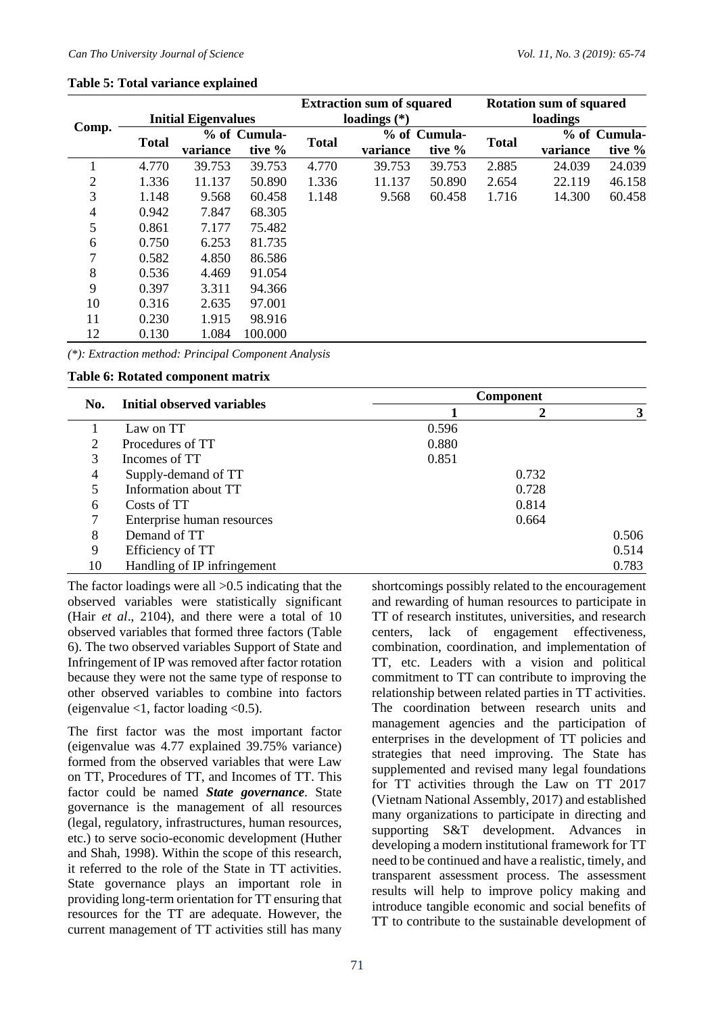|                |                            |              |         |              | <b>Extraction sum of squared</b> |              | <b>Rotation sum of squared</b> |          |              |  |
|----------------|----------------------------|--------------|---------|--------------|----------------------------------|--------------|--------------------------------|----------|--------------|--|
|                | <b>Initial Eigenvalues</b> |              |         |              | loadings $(*)$                   |              | loadings                       |          |              |  |
| Comp.          | <b>Total</b>               | % of Cumula- |         | <b>Total</b> |                                  | % of Cumula- |                                |          | % of Cumula- |  |
|                |                            | variance     | tive %  |              | variance                         | tive %       | <b>Total</b>                   | variance | tive %       |  |
| 1              | 4.770                      | 39.753       | 39.753  | 4.770        | 39.753                           | 39.753       | 2.885                          | 24.039   | 24.039       |  |
| $\overline{2}$ | 1.336                      | 11.137       | 50.890  | 1.336        | 11.137                           | 50.890       | 2.654                          | 22.119   | 46.158       |  |
| 3              | 1.148                      | 9.568        | 60.458  | 1.148        | 9.568                            | 60.458       | 1.716                          | 14.300   | 60.458       |  |
| 4              | 0.942                      | 7.847        | 68.305  |              |                                  |              |                                |          |              |  |
| 5              | 0.861                      | 7.177        | 75.482  |              |                                  |              |                                |          |              |  |
| 6              | 0.750                      | 6.253        | 81.735  |              |                                  |              |                                |          |              |  |
| 7              | 0.582                      | 4.850        | 86.586  |              |                                  |              |                                |          |              |  |
| 8              | 0.536                      | 4.469        | 91.054  |              |                                  |              |                                |          |              |  |
| 9              | 0.397                      | 3.311        | 94.366  |              |                                  |              |                                |          |              |  |
| 10             | 0.316                      | 2.635        | 97.001  |              |                                  |              |                                |          |              |  |
| 11             | 0.230                      | 1.915        | 98.916  |              |                                  |              |                                |          |              |  |
| 12             | 0.130                      | 1.084        | 100.000 |              |                                  |              |                                |          |              |  |

#### **Table 5: Total variance explained**

*(\*): Extraction method: Principal Component Analysis*

#### **Table 6: Rotated component matrix**

|     |                             | <b>Component</b> |       |       |  |  |  |
|-----|-----------------------------|------------------|-------|-------|--|--|--|
| No. | Initial observed variables  |                  |       | 3     |  |  |  |
|     | Law on TT                   | 0.596            |       |       |  |  |  |
| 2   | Procedures of TT            | 0.880            |       |       |  |  |  |
| 3   | Incomes of TT               | 0.851            |       |       |  |  |  |
| 4   | Supply-demand of TT         |                  | 0.732 |       |  |  |  |
| 5   | Information about TT        |                  | 0.728 |       |  |  |  |
| 6   | Costs of TT                 |                  | 0.814 |       |  |  |  |
|     | Enterprise human resources  |                  | 0.664 |       |  |  |  |
| 8   | Demand of TT                |                  |       | 0.506 |  |  |  |
| 9   | Efficiency of TT            |                  |       | 0.514 |  |  |  |
| 10  | Handling of IP infringement |                  |       | 0.783 |  |  |  |

The factor loadings were all >0.5 indicating that the observed variables were statistically significant (Hair *et al*., 2104), and there were a total of 10 observed variables that formed three factors (Table 6). The two observed variables Support of State and Infringement of IP was removed after factor rotation because they were not the same type of response to other observed variables to combine into factors (eigenvalue  $<$ 1, factor loading  $<$ 0.5).

The first factor was the most important factor (eigenvalue was 4.77 explained 39.75% variance) formed from the observed variables that were Law on TT, Procedures of TT, and Incomes of TT. This factor could be named *State governance*. State governance is the management of all resources (legal, regulatory, infrastructures, human resources, etc.) to serve socio-economic development (Huther and Shah, 1998). Within the scope of this research, it referred to the role of the State in TT activities. State governance plays an important role in providing long-term orientation for TT ensuring that resources for the TT are adequate. However, the current management of TT activities still has many

shortcomings possibly related to the encouragement and rewarding of human resources to participate in TT of research institutes, universities, and research centers, lack of engagement effectiveness, combination, coordination, and implementation of TT, etc. Leaders with a vision and political commitment to TT can contribute to improving the relationship between related parties in TT activities. The coordination between research units and management agencies and the participation of enterprises in the development of TT policies and strategies that need improving. The State has supplemented and revised many legal foundations for TT activities through the Law on TT 2017 (Vietnam National Assembly, 2017) and established many organizations to participate in directing and supporting S&T development. Advances in developing a modern institutional framework for TT need to be continued and have a realistic, timely, and transparent assessment process. The assessment results will help to improve policy making and introduce tangible economic and social benefits of TT to contribute to the sustainable development of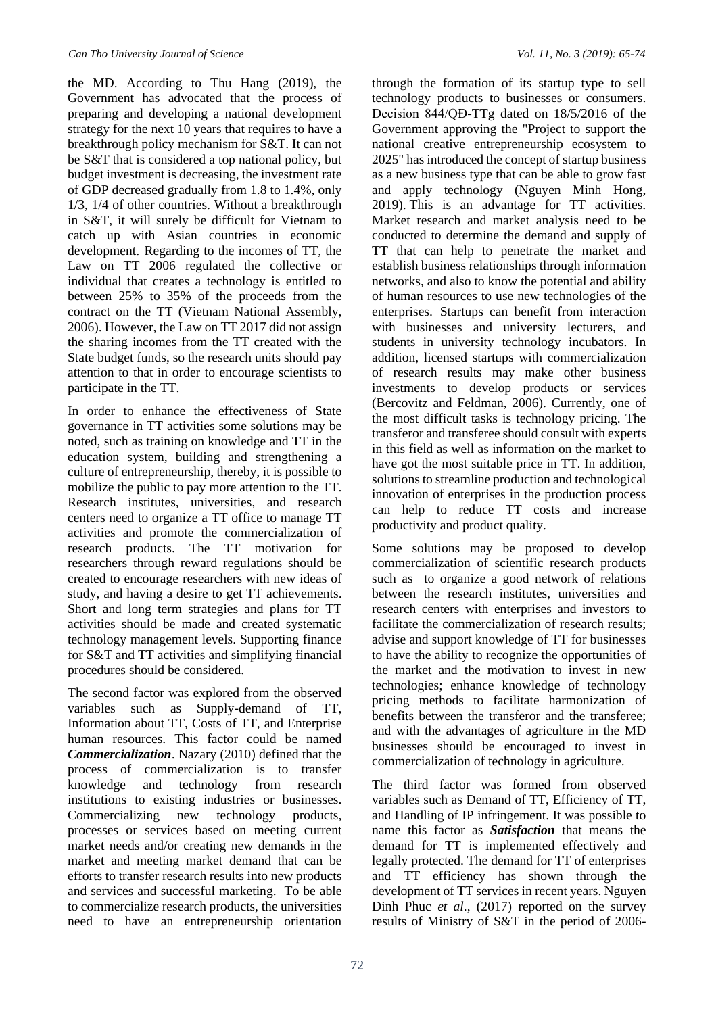the MD. According to Thu Hang (2019), the Government has advocated that the process of preparing and developing a national development strategy for the next 10 years that requires to have a breakthrough policy mechanism for S&T. It can not be S&T that is considered a top national policy, but budget investment is decreasing, the investment rate of GDP decreased gradually from 1.8 to 1.4%, only 1/3, 1/4 of other countries. Without a breakthrough in S&T, it will surely be difficult for Vietnam to catch up with Asian countries in economic development. Regarding to the incomes of TT, the Law on TT 2006 regulated the collective or individual that creates a technology is entitled to between 25% to 35% of the proceeds from the contract on the TT (Vietnam National Assembly, 2006). However, the Law on TT 2017 did not assign the sharing incomes from the TT created with the State budget funds, so the research units should pay attention to that in order to encourage scientists to participate in the TT.

In order to enhance the effectiveness of State governance in TT activities some solutions may be noted, such as training on knowledge and TT in the education system, building and strengthening a culture of entrepreneurship, thereby, it is possible to mobilize the public to pay more attention to the TT. Research institutes, universities, and research centers need to organize a TT office to manage TT activities and promote the commercialization of research products. The TT motivation for researchers through reward regulations should be created to encourage researchers with new ideas of study, and having a desire to get TT achievements. Short and long term strategies and plans for TT activities should be made and created systematic technology management levels. Supporting finance for S&T and TT activities and simplifying financial procedures should be considered.

The second factor was explored from the observed variables such as Supply-demand of TT, Information about TT, Costs of TT, and Enterprise human resources. This factor could be named *Commercialization*. Nazary (2010) defined that the process of commercialization is to transfer knowledge and technology from research institutions to existing industries or businesses. Commercializing new technology products, processes or services based on meeting current market needs and/or creating new demands in the market and meeting market demand that can be efforts to transfer research results into new products and services and successful marketing. To be able to commercialize research products, the universities need to have an entrepreneurship orientation

through the formation of its startup type to sell technology products to businesses or consumers. Decision 844/QĐ-TTg dated on 18/5/2016 of the Government approving the "Project to support the national creative entrepreneurship ecosystem to 2025" has introduced the concept of startup business as a new business type that can be able to grow fast and apply technology (Nguyen Minh Hong, 2019). This is an advantage for TT activities. Market research and market analysis need to be conducted to determine the demand and supply of TT that can help to penetrate the market and establish business relationships through information networks, and also to know the potential and ability of human resources to use new technologies of the enterprises. Startups can benefit from interaction with businesses and university lecturers, and students in university technology incubators. In addition, licensed startups with commercialization of research results may make other business investments to develop products or services (Bercovitz and Feldman, 2006). Currently, one of the most difficult tasks is technology pricing. The transferor and transferee should consult with experts in this field as well as information on the market to have got the most suitable price in TT. In addition, solutions to streamline production and technological innovation of enterprises in the production process can help to reduce TT costs and increase productivity and product quality.

Some solutions may be proposed to develop commercialization of scientific research products such as to organize a good network of relations between the research institutes, universities and research centers with enterprises and investors to facilitate the commercialization of research results; advise and support knowledge of TT for businesses to have the ability to recognize the opportunities of the market and the motivation to invest in new technologies; enhance knowledge of technology pricing methods to facilitate harmonization of benefits between the transferor and the transferee; and with the advantages of agriculture in the MD businesses should be encouraged to invest in commercialization of technology in agriculture.

The third factor was formed from observed variables such as Demand of TT, Efficiency of TT, and Handling of IP infringement. It was possible to name this factor as *Satisfaction* that means the demand for TT is implemented effectively and legally protected. The demand for TT of enterprises and TT efficiency has shown through the development of TT services in recent years. Nguyen Dinh Phuc *et al*., (2017) reported on the survey results of Ministry of S&T in the period of 2006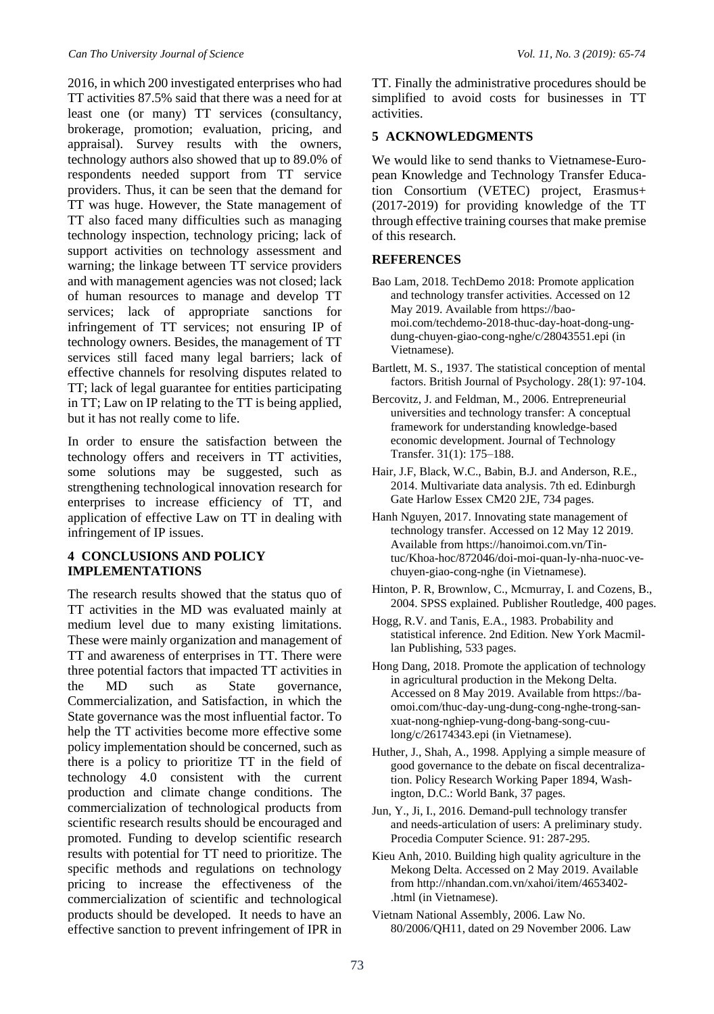2016, in which 200 investigated enterprises who had TT activities 87.5% said that there was a need for at least one (or many) TT services (consultancy, brokerage, promotion; evaluation, pricing, and appraisal). Survey results with the owners, technology authors also showed that up to 89.0% of respondents needed support from TT service providers. Thus, it can be seen that the demand for TT was huge. However, the State management of TT also faced many difficulties such as managing technology inspection, technology pricing; lack of support activities on technology assessment and warning; the linkage between TT service providers and with management agencies was not closed; lack of human resources to manage and develop TT services; lack of appropriate sanctions for infringement of TT services; not ensuring IP of technology owners. Besides, the management of TT services still faced many legal barriers; lack of effective channels for resolving disputes related to TT; lack of legal guarantee for entities participating in TT; Law on IP relating to the TT is being applied, but it has not really come to life.

In order to ensure the satisfaction between the technology offers and receivers in TT activities, some solutions may be suggested, such as strengthening technological innovation research for enterprises to increase efficiency of TT, and application of effective Law on TT in dealing with infringement of IP issues.

#### **4 CONCLUSIONS AND POLICY IMPLEMENTATIONS**

The research results showed that the status quo of TT activities in the MD was evaluated mainly at medium level due to many existing limitations. These were mainly organization and management of TT and awareness of enterprises in TT. There were three potential factors that impacted TT activities in the MD such as State governance, Commercialization, and Satisfaction, in which the State governance was the most influential factor. To help the TT activities become more effective some policy implementation should be concerned, such as there is a policy to prioritize TT in the field of technology 4.0 consistent with the current production and climate change conditions. The commercialization of technological products from scientific research results should be encouraged and promoted. Funding to develop scientific research results with potential for TT need to prioritize. The specific methods and regulations on technology pricing to increase the effectiveness of the commercialization of scientific and technological products should be developed. It needs to have an effective sanction to prevent infringement of IPR in

TT. Finally the administrative procedures should be simplified to avoid costs for businesses in TT activities.

#### **5 ACKNOWLEDGMENTS**

We would like to send thanks to Vietnamese-European Knowledge and Technology Transfer Education Consortium (VETEC) project, Erasmus+ (2017-2019) for providing knowledge of the TT through effective training courses that make premise of this research.

#### **REFERENCES**

- Bao Lam, 2018. TechDemo 2018: Promote application and technology transfer activities. Accessed on 12 May 2019. Available from [https://bao](https://baomoi.com/techdemo-2018-thuc-day-hoat-dong-ung-dung-chuyen-giao-cong-nghe/c/28043551.epi)[moi.com/techdemo-2018-thuc-day-hoat-dong-ung](https://baomoi.com/techdemo-2018-thuc-day-hoat-dong-ung-dung-chuyen-giao-cong-nghe/c/28043551.epi)[dung-chuyen-giao-cong-nghe/c/28043551.epi](https://baomoi.com/techdemo-2018-thuc-day-hoat-dong-ung-dung-chuyen-giao-cong-nghe/c/28043551.epi) (in Vietnamese).
- Bartlett, M. S., 1937. The statistical conception of mental factors. British Journal of Psychology. 28(1): 97-104.
- Bercovitz, J. and Feldman, M., 2006. Entrepreneurial universities and technology transfer: A conceptual framework for understanding knowledge-based economic development. Journal of Technology Transfer. 31(1): 175–188.
- Hair, J.F, Black, W.C., Babin, B.J. and Anderson, R.E., 2014. Multivariate data analysis. 7th ed. Edinburgh Gate Harlow Essex CM20 2JE, 734 pages.
- Hanh Nguyen, 2017. Innovating state management of technology transfer. Accessed on 12 May 12 2019. Available from https://hanoimoi.com.vn/Tintuc/Khoa-hoc/872046/doi-moi-quan-ly-nha-nuoc-vechuyen-giao-cong-nghe (in Vietnamese).
- [Hinton,](https://www.researchgate.net/scientific-contributions/66567204_Perry_R_Hinton) P. R, [Brownlow,](https://www.researchgate.net/profile/Charlotte_Brownlow) C.[, Mcmurray,](https://www.researchgate.net/profile/Isabella_Mcmurray) I. and [Cozens,](https://www.researchgate.net/scientific-contributions/60827028_Bob_Cozens) B., 2004. SPSS explained. Publisher Routledge, 400 pages.
- Hogg, R.V. and Tanis, E.A., 1983. Probability and statistical inference. 2nd Edition. New York Macmillan Publishing, 533 pages.
- Hong Dang, 2018. Promote the application of technology in agricultural production in the Mekong Delta. Accessed on 8 May 2019. Available fro[m https://ba](https://baomoi.com/thuc-day-ung-dung-cong-nghe-trong-san-xuat-nong-nghiep-vung-dong-bang-song-cuu-long/c/26174343.epi)[omoi.com/thuc-day-ung-dung-cong-nghe-trong-san](https://baomoi.com/thuc-day-ung-dung-cong-nghe-trong-san-xuat-nong-nghiep-vung-dong-bang-song-cuu-long/c/26174343.epi)[xuat-nong-nghiep-vung-dong-bang-song-cuu](https://baomoi.com/thuc-day-ung-dung-cong-nghe-trong-san-xuat-nong-nghiep-vung-dong-bang-song-cuu-long/c/26174343.epi)[long/c/26174343.epi](https://baomoi.com/thuc-day-ung-dung-cong-nghe-trong-san-xuat-nong-nghiep-vung-dong-bang-song-cuu-long/c/26174343.epi) (in Vietnamese).
- Huther, J., Shah, A., 1998. Applying a simple measure of good governance to the debate on fiscal decentralization. Policy Research Working Paper 1894, Washington, D.C.: World Bank, 37 pages.
- Jun, Y., Ji, I., 2016. Demand-pull technology transfer and needs-articulation of users: A preliminary study. Procedia Computer Science. 91: 287-295.
- Kieu Anh, 2010. Building high quality agriculture in the Mekong Delta. Accessed on 2 May 2019. Available fro[m http://nhandan.com.vn/xahoi/item/4653402-](http://nhandan.com.vn/xahoi/item/4653402-.html) [.html](http://nhandan.com.vn/xahoi/item/4653402-.html) (in Vietnamese).
- Vietnam National Assembly, 2006. Law No. 80/2006/QH11, dated on 29 November 2006. Law